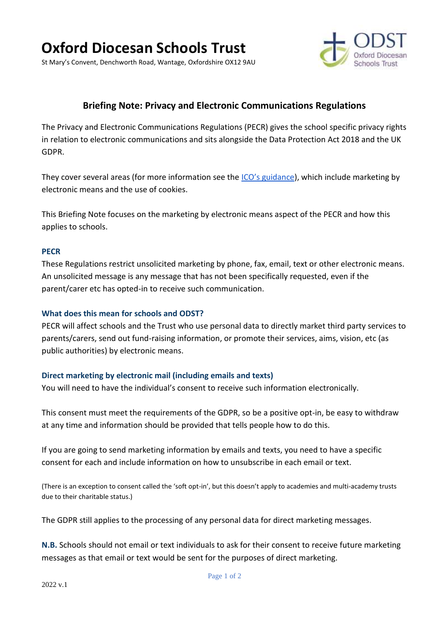# **Oxford Diocesan Schools Trust**

St Mary's Convent, Denchworth Road, Wantage, Oxfordshire OX12 9AU



# **Briefing Note: Privacy and Electronic Communications Regulations**

The Privacy and Electronic Communications Regulations (PECR) gives the school specific privacy rights in relation to electronic communications and sits alongside the Data Protection Act 2018 and the UK GDPR.

They cover several areas (for more information see the *[ICO's guidance](https://ico.org.uk/for-organisations/guide-to-pecr/what-are-pecr/)*), which include marketing by electronic means and the use of cookies.

This Briefing Note focuses on the marketing by electronic means aspect of the PECR and how this applies to schools.

#### **PECR**

These Regulations restrict unsolicited marketing by phone, fax, email, text or other electronic means. An unsolicited message is any message that has not been specifically requested, even if the parent/carer etc has opted-in to receive such communication.

#### **What does this mean for schools and ODST?**

PECR will affect schools and the Trust who use personal data to directly market third party services to parents/carers, send out fund-raising information, or promote their services, aims, vision, etc (as public authorities) by electronic means.

# **Direct marketing by electronic mail (including emails and texts)**

You will need to have the individual's consent to receive such information electronically.

This consent must meet the requirements of the GDPR, so be a positive opt-in, be easy to withdraw at any time and information should be provided that tells people how to do this.

If you are going to send marketing information by emails and texts, you need to have a specific consent for each and include information on how to unsubscribe in each email or text.

(There is an exception to consent called the 'soft opt-in', but this doesn't apply to academies and multi-academy trusts due to their charitable status.)

The GDPR still applies to the processing of any personal data for direct marketing messages.

**N.B.** Schools should not email or text individuals to ask for their consent to receive future marketing messages as that email or text would be sent for the purposes of direct marketing.